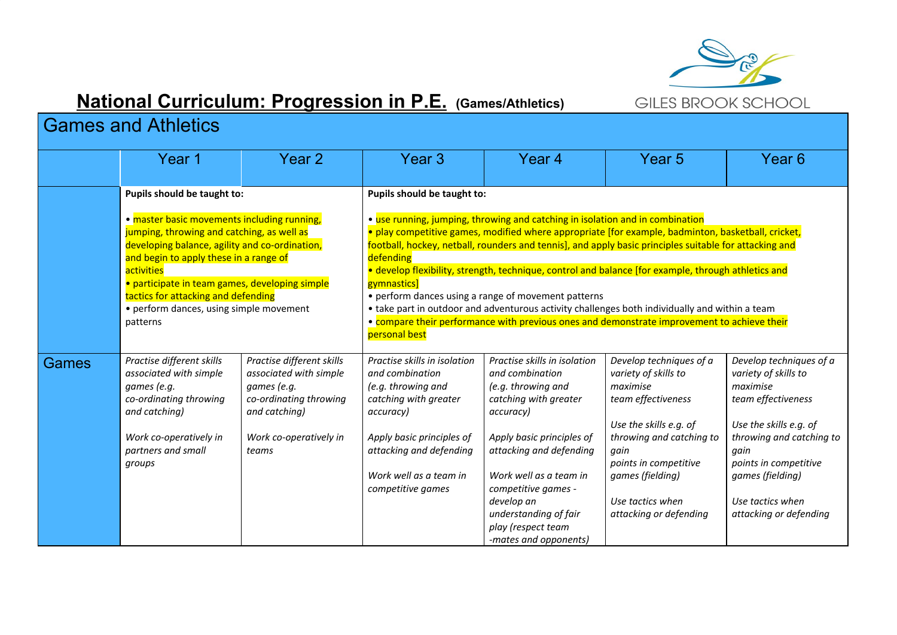

## **National Curriculum: Progression in P.E. (Games/Athletics)**

## Games and Athletics

|       | Year 1                                                                                                                                                                                                                                                                                                                                                                             | Year 2                                                                                                                                           | Year 3                                                                                                                                                                                                                                                                                                                                                                                                                                                                                                                                                                                                                                                                                                                                   | Year 4                                                                                                                                                                                                                                                                                                     | Year 5                                                                                                                                                                                                                                     | Year <sub>6</sub>                                                                                                                                                                                                                          |  |
|-------|------------------------------------------------------------------------------------------------------------------------------------------------------------------------------------------------------------------------------------------------------------------------------------------------------------------------------------------------------------------------------------|--------------------------------------------------------------------------------------------------------------------------------------------------|------------------------------------------------------------------------------------------------------------------------------------------------------------------------------------------------------------------------------------------------------------------------------------------------------------------------------------------------------------------------------------------------------------------------------------------------------------------------------------------------------------------------------------------------------------------------------------------------------------------------------------------------------------------------------------------------------------------------------------------|------------------------------------------------------------------------------------------------------------------------------------------------------------------------------------------------------------------------------------------------------------------------------------------------------------|--------------------------------------------------------------------------------------------------------------------------------------------------------------------------------------------------------------------------------------------|--------------------------------------------------------------------------------------------------------------------------------------------------------------------------------------------------------------------------------------------|--|
|       | Pupils should be taught to:<br>• master basic movements including running,<br>jumping, throwing and catching, as well as<br>developing balance, agility and co-ordination,<br>and begin to apply these in a range of<br>activities<br>· participate in team games, developing simple<br>tactics for attacking and defending<br>• perform dances, using simple movement<br>patterns |                                                                                                                                                  | Pupils should be taught to:<br>• use running, jumping, throwing and catching in isolation and in combination<br>· play competitive games, modified where appropriate [for example, badminton, basketball, cricket,<br>football, hockey, netball, rounders and tennis], and apply basic principles suitable for attacking and<br>defending<br>· develop flexibility, strength, technique, control and balance [for example, through athletics and<br>gymnastics]<br>• perform dances using a range of movement patterns<br>• take part in outdoor and adventurous activity challenges both individually and within a team<br>. compare their performance with previous ones and demonstrate improvement to achieve their<br>personal best |                                                                                                                                                                                                                                                                                                            |                                                                                                                                                                                                                                            |                                                                                                                                                                                                                                            |  |
| Games | Practise different skills<br>associated with simple<br>games (e.g.<br>co-ordinating throwing<br>and catching)<br>Work co-operatively in<br>partners and small<br>groups                                                                                                                                                                                                            | Practise different skills<br>associated with simple<br>games (e.g.<br>co-ordinating throwing<br>and catching)<br>Work co-operatively in<br>teams | Practise skills in isolation<br>and combination<br>(e.g. throwing and<br>catching with greater<br>accuracy)<br>Apply basic principles of<br>attacking and defending<br>Work well as a team in<br>competitive games                                                                                                                                                                                                                                                                                                                                                                                                                                                                                                                       | Practise skills in isolation<br>and combination<br>(e.g. throwing and<br>catching with greater<br>accuracy)<br>Apply basic principles of<br>attacking and defending<br>Work well as a team in<br>competitive games -<br>develop an<br>understanding of fair<br>play (respect team<br>-mates and opponents) | Develop techniques of a<br>variety of skills to<br>maximise<br>team effectiveness<br>Use the skills e.g. of<br>throwing and catching to<br>gain<br>points in competitive<br>games (fielding)<br>Use tactics when<br>attacking or defending | Develop techniques of a<br>variety of skills to<br>maximise<br>team effectiveness<br>Use the skills e.g. of<br>throwing and catching to<br>gain<br>points in competitive<br>games (fielding)<br>Use tactics when<br>attacking or defending |  |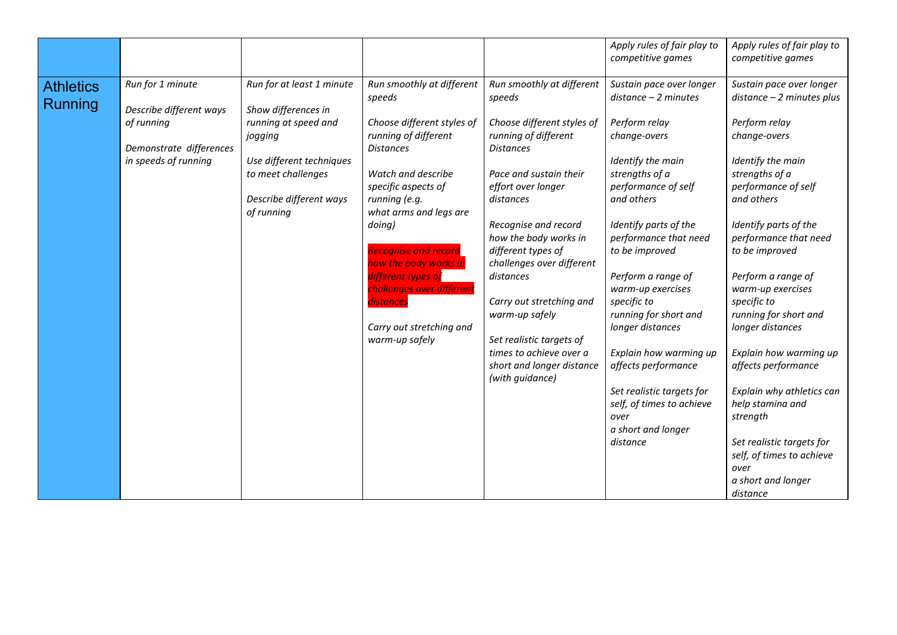|                             |                                                                                                              |                                                                                                                                                                                |                                                                                                                                                                                                                                                |                                                                                                                                                                                                                                                   | Apply rules of fair play to<br>competitive games                                                                                                                                                                                                         | Apply rules of fair play to<br>competitive games                                                                                                                                                                                                                                                                      |
|-----------------------------|--------------------------------------------------------------------------------------------------------------|--------------------------------------------------------------------------------------------------------------------------------------------------------------------------------|------------------------------------------------------------------------------------------------------------------------------------------------------------------------------------------------------------------------------------------------|---------------------------------------------------------------------------------------------------------------------------------------------------------------------------------------------------------------------------------------------------|----------------------------------------------------------------------------------------------------------------------------------------------------------------------------------------------------------------------------------------------------------|-----------------------------------------------------------------------------------------------------------------------------------------------------------------------------------------------------------------------------------------------------------------------------------------------------------------------|
| <b>Athletics</b><br>Running | Run for 1 minute<br>Describe different ways<br>of running<br>Demonstrate differences<br>in speeds of running | Run for at least 1 minute<br>Show differences in<br>running at speed and<br>jogging<br>Use different techniques<br>to meet challenges<br>Describe different ways<br>of running | Run smoothly at different<br>speeds<br>Choose different styles of<br>running of different<br><b>Distances</b><br>Watch and describe<br>specific aspects of<br>running (e.g.<br>what arms and legs are<br>doing)<br><b>Recognise and record</b> | Run smoothly at different<br>speeds<br>Choose different styles of<br>running of different<br><b>Distances</b><br>Pace and sustain their<br>effort over longer<br>distances<br>Recognise and record<br>how the body works in<br>different types of | Sustain pace over longer<br>$distance - 2 minutes$<br>Perform relay<br>change-overs<br>Identify the main<br>strengths of a<br>performance of self<br>and others<br>Identify parts of the<br>performance that need<br>to be improved                      | Sustain pace over longer<br>$distance - 2 minutes plus$<br>Perform relay<br>change-overs<br>Identify the main<br>strengths of a<br>performance of self<br>and others<br>Identify parts of the<br>performance that need<br>to be improved                                                                              |
|                             |                                                                                                              |                                                                                                                                                                                | how the body works in<br>different types of<br>challenges over different<br>distances<br>Carry out stretching and<br>warm-up safely                                                                                                            | challenges over different<br>distances<br>Carry out stretching and<br>warm-up safely<br>Set realistic targets of<br>times to achieve over a<br>short and longer distance<br>(with guidance)                                                       | Perform a range of<br>warm-up exercises<br>specific to<br>running for short and<br>longer distances<br>Explain how warming up<br>affects performance<br>Set realistic targets for<br>self, of times to achieve<br>over<br>a short and longer<br>distance | Perform a range of<br>warm-up exercises<br>specific to<br>running for short and<br>longer distances<br>Explain how warming up<br>affects performance<br>Explain why athletics can<br>help stamina and<br>strength<br>Set realistic targets for<br>self, of times to achieve<br>over<br>a short and longer<br>distance |